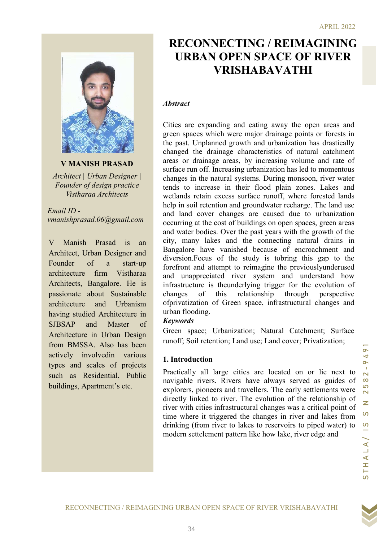V MANISH PRASAD

Architect | Urban Designer | Founder of design practice Vistharaa Architects

Email ID vmanishprasad.06@gmail.com

V Manish Prasad is an Architect, Urban Designer and Founder of a start-up architecture firm Vistharaa Architects, Bangalore. He is passionate about Sustainable architecture and Urbanism having studied Architecture in SJBSAP and Master of Architecture in Urban Design from BMSSA. Also has been actively involvedin various types and scales of projects such as Residential, Public buildings, Apartment's etc.

# RECONNECTING / REIMAGINING URBAN OPEN SPACE OF RIVER VRISHABAVATHI

# **Abstract**

nder of desten practice<br>
France is that so increase in their flood plain zones. Lekes and<br>
Firstnara Architects<br>
whether and hand cover charges are conserved the to-<br>
halo ns of the source of buildings on open spaces, goe Cities are expanding and eating away the open areas and green spaces which were major drainage points or forests in the past. Unplanned growth and urbanization has drastically changed the drainage characteristics of natural catchment areas or drainage areas, by increasing volume and rate of surface run off. Increasing urbanization has led to momentous changes in the natural systems. During monsoon, river water tends to increase in their flood plain zones. Lakes and wetlands retain excess surface runoff, where forested lands help in soil retention and groundwater recharge. The land use and land cover changes are caused due to urbanization occurring at the cost of buildings on open spaces, green areas and water bodies. Over the past years with the growth of the city, many lakes and the connecting natural drains in Bangalore have vanished because of encroachment and diversion.Focus of the study is tobring this gap to the forefront and attempt to reimagine the previouslyunderused and unappreciated river system and understand how infrastructure is theunderlying trigger for the evolution of changes of this relationship through perspective ofprivatization of Green space, infrastructural changes and urban flooding.

# Keywords

Green space; Urbanization; Natural Catchment; Surface runoff; Soil retention; Land use; Land cover; Privatization;

# 1. Introduction

Practically all large cities are located on or lie next to navigable rivers. Rivers have always served as guides of explorers, pioneers and travellers. The early settlements were directly linked to river. The evolution of the relationship of river with cities infrastructural changes was a critical point of time where it triggered the changes in river and lakes from drinking (from river to lakes to reservoirs to piped water) to modern settelement pattern like how lake, river edge and

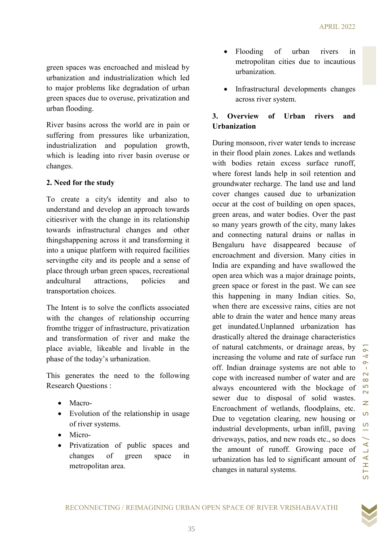green spaces was encroached and mislead by urbanization and industrialization which led to major problems like degradation of urban green spaces due to overuse, privatization and urban flooding.

River basins across the world are in pain or suffering from pressures like urbanization, industrialization and population growth, which is leading into river basin overuse or changes.

# 2. Need for the study

To create a city's identity and also to understand and develop an approach towards citiesriver with the change in its relationship towards infrastructural changes and other thingshappening across it and transforming it into a unique platform with required facilities servingthe city and its people and a sense of place through urban green spaces, recreational andcultural attractions, policies and transportation choices.

The Intent is to solve the conflicts associated with the changes of relationship occurring fromthe trigger of infrastructure, privatization and transformation of river and make the place aviable, likeable and livable in the phase of the today's urbanization.

This generates the need to the following Research Questions :

- Macro-
- Evolution of the relationship in usage of river systems.
- Micro-
- Privatization of public spaces and changes of green space in metropolitan area.
- Flooding of urban rivers in metropolitan cities due to incautious urbanization.
- Infrastructural developments changes across river system.

# 3. Overview of Urban rivers and Urbanization

**Example 10 EXECT AND EXECT** CONTING THE SPACE OF RIVER VANDED AND **EXECUT AND EXECT** IN THE CONDUCT INTERFERANT CONDUCT THE SURFACE OF THE PASSING ON A CHECK CONNELLATION **EXECT** AND **EXECT** CONDUCT **EXECT** AND **E** During monsoon, river water tends to increase in their flood plain zones. Lakes and wetlands with bodies retain excess surface runoff, where forest lands help in soil retention and groundwater recharge. The land use and land cover changes caused due to urbanization occur at the cost of building on open spaces, green areas, and water bodies. Over the past so many years growth of the city, many lakes and connecting natural drains or nallas in Bengaluru have disappeared because of encroachment and diversion. Many cities in India are expanding and have swallowed the open area which was a major drainage points, green space or forest in the past. We can see this happening in many Indian cities. So, when there are excessive rains, cities are not able to drain the water and hence many areas get inundated.Unplanned urbanization has drastically altered the drainage characteristics of natural catchments, or drainage areas, by increasing the volume and rate of surface run off. Indian drainage systems are not able to cope with increased number of water and are always encountered with the blockage of sewer due to disposal of solid wastes. Encroachment of wetlands, floodplains, etc. Due to vegetation clearing, new housing or industrial developments, urban infill, paving driveways, patios, and new roads etc., so does the amount of runoff. Growing pace of urbanization has led to significant amount of changes in natural systems.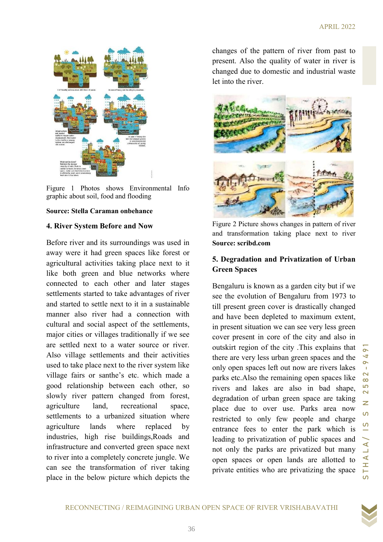

Figure 1 Photos shows Environmental Info graphic about soil, food and flooding

# Source: Stella Caraman onbehance

# 4. River System Before and Now

1 Photos shows Tavirnomental Info<br>
and Soloving Colored Dooling Constant and the signal constant and the signal constant and the system Before and Now<br>
Figure 2 Peters shows changes in pattern of viver<br>
and the all green Before river and its surroundings was used in away were it had green spaces like forest or agricultural activities taking place next to it like both green and blue networks where connected to each other and later stages settlements started to take advantages of river and started to settle next to it in a sustainable manner also river had a connection with cultural and social aspect of the settlements, major cities or villages traditionally if we see are settled next to a water source or river. Also village settlements and their activities used to take place next to the river system like village fairs or santhe's etc. which made a good relationship between each other, so slowly river pattern changed from forest, agriculture land, recreational space, settlements to a urbanized situation where agriculture lands where replaced by industries, high rise buildings,Roads and infrastructure and converted green space next to river into a completely concrete jungle. We can see the transformation of river taking place in the below picture which depicts the

changes of the pattern of river from past to present. Also the quality of water in river is changed due to domestic and industrial waste let into the river.



Figure 2 Picture shows changes in pattern of river and transformation taking place next to river Source: scribd.com

# 5. Degradation and Privatization of Urban Green Spaces

Bengaluru is known as a garden city but if we see the evolution of Bengaluru from 1973 to till present green cover is drastically changed and have been depleted to maximum extent, in present situation we can see very less green cover present in core of the city and also in outskirt region of the city .This explains that there are very less urban green spaces and the only open spaces left out now are rivers lakes parks etc.Also the remaining open spaces like rivers and lakes are also in bad shape, degradation of urban green space are taking place due to over use. Parks area now restricted to only few people and charge entrance fees to enter the park which is leading to privatization of public spaces and not only the parks are privatized but many open spaces or open lands are allotted to private entities who are privatizing the space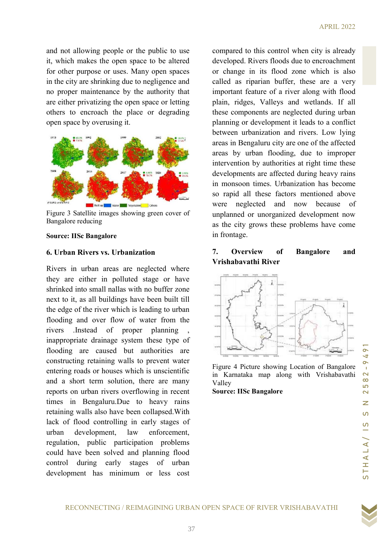and not allowing people or the public to use it, which makes the open space to be altered for other purpose or uses. Many open spaces in the city are shrinking due to negligence and no proper maintenance by the authority that are either privatizing the open space or letting others to encroach the place or degrading open space by overusing it.



Figure 3 Satellite images showing green cover of Bangalore reducing

#### Source: IISc Bangalore

#### 6. Urban Rivers vs. Urbanization

**EXERCONDE INTERFEURATION** Solution and the simulation in the second of Representation of Banglade and the magnitude of the simulation in the same and the simulation of Banglade and the simulation in the same and explicit Rivers in urban areas are neglected where they are either in polluted stage or have shrinked into small nallas with no buffer zone next to it, as all buildings have been built till the edge of the river which is leading to urban flooding and over flow of water from the rivers .Instead of proper planning inappropriate drainage system these type of flooding are caused but authorities are constructing retaining walls to prevent water entering roads or houses which is unscientific and a short term solution, there are many reports on urban rivers overflowing in recent times in Bengaluru.Due to heavy rains retaining walls also have been collapsed.With lack of flood controlling in early stages of urban development, law enforcement, regulation, public participation problems could have been solved and planning flood control during early stages of urban development has minimum or less cost

compared to this control when city is already developed. Rivers floods due to encroachment or change in its flood zone which is also called as riparian buffer, these are a very important feature of a river along with flood plain, ridges, Valleys and wetlands. If all these components are neglected during urban planning or development it leads to a conflict between urbanization and rivers. Low lying areas in Bengaluru city are one of the affected areas by urban flooding, due to improper intervention by authorities at right time these developments are affected during heavy rains in monsoon times. Urbanization has become so rapid all these factors mentioned above were neglected and now because of unplanned or unorganized development now as the city grows these problems have come in frontage.

# 7. Overview of Bangalore and Vrishabavathi River



Figure 4 Picture showing Location of Bangalore in Karnataka map along with Vrishabavathi Valley

Source: IISc Bangalore

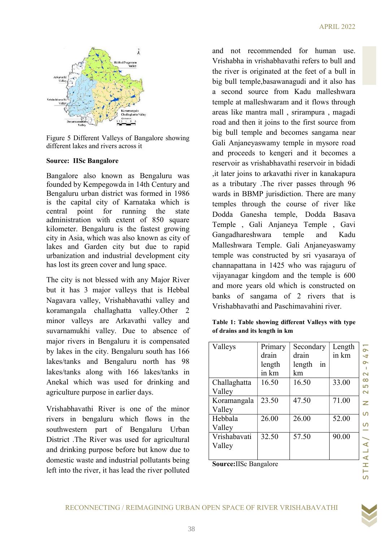

Figure 5 Different Valleys of Bangalore showing different lakes and rivers across it

# Source: IISc Bangalore

Bangalore also known as Bengaluru was founded by Kempegowda in 14th Century and Bengaluru urban district was formed in 1986 is the capital city of Karnataka which is central point for running the state administration with extent of 850 square kilometer. Bengaluru is the fastest growing city in Asia, which was also known as city of lakes and Garden city but due to rapid urbanization and industrial development city has lost its green cover and lung space.

The city is not blessed with any Major River but it has 3 major valleys that is Hebbal Nagavara valley, Vrishabhavathi valley and koramangala challaghatta valley.Other 2 minor valleys are Arkavathi valley and suvarnamukhi valley. Due to absence of major rivers in Bengaluru it is compensated by lakes in the city. Bengaluru south has 166 lakes/tanks and Bengaluru north has 98 lakes/tanks along with 166 lakes/tanks in Anekal which was used for drinking and agriculture purpose in earlier days.

Vrishabhavathi River is one of the minor rivers in bengaluru which flows in the southwestern part of Bengaluru Urban District .The River was used for agricultural and drinking purpose before but know due to domestic waste and industrial pollutants being left into the river, it has lead the river polluted

and not recommended for human use. Vrishabha in vrishabhavathi refers to bull and the river is originated at the feet of a bull in big bull temple,basawanagudi and it also has a second source from Kadu malleshwara temple at malleshwaram and it flows through areas like mantra mall , srirampura , magadi road and then it joins to the first source from big bull temple and becomes sangama near Gali Anjaneyaswamy temple in mysore road and proceeds to kengeri and it becomes a reservoir as vrishabhavathi reservoir in bidadi ,it later joins to arkavathi river in kanakapura as a tributary .The river passes through 96 wards in BBMP jurisdiction. There are many temples through the course of river like Dodda Ganesha temple, Dodda Basava Temple , Gali Anjaneya Temple , Gavi Gangadhareshwara temple and Kadu Malleshwara Temple. Gali Anjaneyaswamy temple was constructed by sri vyasaraya of channapattana in 1425 who was rajaguru of vijayanagar kingdom and the temple is 600 and more years old which is constructed on banks of sangama of 2 rivers that is Vrishabhavathi and Paschimavahini river.

| Table 1: Table showing different Valleys with type |  |
|----------------------------------------------------|--|
| of drains and its length in km                     |  |

| capital city of Karnataka which is<br>1 point for running the state<br>istration with extent of 850 square<br>eter. Bengaluru is the fastest growing<br>Asia, which was also known as city of<br>and Garden city but due to rapid<br>ization and industrial development city<br>st its green cover and lung space. | temples through the course of river like<br>Dodda Ganesha temple, Dodda Basava<br>Temple, Gali Anjaneya Temple, Gavi<br>Gangadhareshwara<br>Malleshwara Temple. Gali Anjaneyaswamy<br>temple was constructed by sri vyasaraya of<br>channapattana in 1425 who was rajaguru of<br>vijayanagar kingdom and the temple is 600 |                                                                                                                                | wards in BBMP jurisdiction. There are many<br>temple<br>and | Kadu            |  |
|--------------------------------------------------------------------------------------------------------------------------------------------------------------------------------------------------------------------------------------------------------------------------------------------------------------------|----------------------------------------------------------------------------------------------------------------------------------------------------------------------------------------------------------------------------------------------------------------------------------------------------------------------------|--------------------------------------------------------------------------------------------------------------------------------|-------------------------------------------------------------|-----------------|--|
| ity is not blessed with any Major River<br>has 3 major valleys that is Hebbal<br>ara valley, Vrishabhavathi valley and<br>angala challaghatta valley.Other 2                                                                                                                                                       |                                                                                                                                                                                                                                                                                                                            | and more years old which is constructed on<br>banks of sangama of 2 rivers that is<br>Vrishabhavathi and Paschimavahini river. |                                                             |                 |  |
| valleys are Arkavathi valley and<br>namukhi valley. Due to absence of<br>rivers in Bengaluru it is compensated                                                                                                                                                                                                     | Table 1: Table showing different Valleys with type<br>of drains and its length in km                                                                                                                                                                                                                                       |                                                                                                                                |                                                             |                 |  |
| tes in the city. Bengaluru south has 166<br>tanks and Bengaluru north has 98<br>tanks along with 166 lakes/tanks in                                                                                                                                                                                                | Valleys                                                                                                                                                                                                                                                                                                                    | Primary<br>drain<br>length<br>in km                                                                                            | Secondary<br>drain<br>length in<br>km                       | Length<br>in km |  |
| I which was used for drinking and<br>lture purpose in earlier days.                                                                                                                                                                                                                                                | Challaghatta<br>Valley                                                                                                                                                                                                                                                                                                     | 16.50                                                                                                                          | 16.50                                                       | 33.00           |  |
| abhavathi River is one of the minor                                                                                                                                                                                                                                                                                | Koramangala<br>Valley                                                                                                                                                                                                                                                                                                      | 23.50                                                                                                                          | 47.50                                                       | 71.00           |  |
| in bengaluru which flows in the<br>vestern part of Bengaluru Urban                                                                                                                                                                                                                                                 | Hebbala<br>Valley                                                                                                                                                                                                                                                                                                          | 26.00                                                                                                                          | 26.00                                                       | 52.00           |  |
| et .The River was used for agricultural<br>rinking purpose before but know due to                                                                                                                                                                                                                                  | Vrishabavati<br>Valley                                                                                                                                                                                                                                                                                                     | 32.50                                                                                                                          | 57.50                                                       | 90.00           |  |
| stic waste and industrial pollutants being                                                                                                                                                                                                                                                                         | <b>Source: IISc Bangalore</b>                                                                                                                                                                                                                                                                                              |                                                                                                                                |                                                             |                 |  |

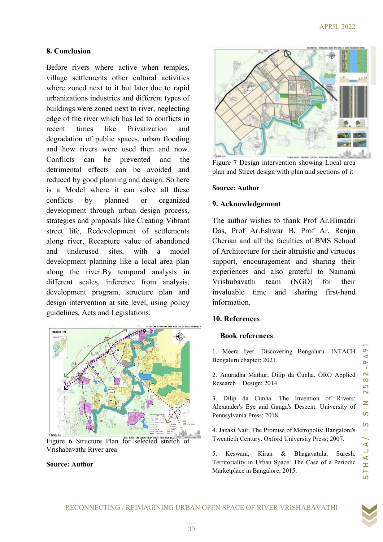# 8. Conclusion

EV good pharming man design, to here are the source Author<br>
and Model where it can solve all these<br>
signs onces,<br>
show that Prof Ar.Himadri<br>
if the Recordynement of settling vibrant<br>
in the state of settling with a model Before rivers where active when temples, village settlements other cultural activities where zoned next to it but later due to rapid urbanizations industries and different types of buildings were zoned next to river, neglecting edge of the river which has led to conflicts in recent times like Privatization and degradation of public spaces, urban flooding and how rivers were used then and now. Conflicts can be prevented and the detrimental effects can be avoided and reduced by good planning and design. So here is a Model where it can solve all these conflicts by planned or organized development through urban design process, strategies and proposals like Creating Vibrant street life, Redevelopment of settlements along river, Recapture value of abandoned and underused sites, with a model development planning like a local area plan along the river.By temporal analysis in different scales, inference from analysis, development program, structure plan and design intervention at site level, using policy guidelines, Acts and Legislations.



Figure 6 Structure Plan for selected stretch of Vrishabavathi River area

# Source: Author



Figure 7 Design intervention showing Local area plan and Street design with plan and sections of it

# Source: Author

# 9. Acknowledgement

The author wishes to thank Prof Ar.Himadri Das, Prof Ar.Eshwar B, Prof Ar. Renjin Cherian and all the faculties of BMS School of Architecture for their altruistic and virtuous support, encouragement and sharing their experiences and also grateful to Namami Vrishubavathi team (NGO) for their invaluable time and sharing first-hand information.

# 10. References

# Book references

1. Meera Iyer. Discovering Bengaluru. INTACH Bengaluru chapter; 2021.

2. Anuradha Mathur, Dilip da Cunha. ORO Applied Research + Design; 2014.

3. Dilip da Cunha. The Invention of Rivers: Alexander's Eye and Ganga's Descent. University of Pennsylvania Press; 2018.

4. Janaki Nair. The Promise of Metropolis: Bangalore's Twentieth Century. Oxford University Press; 2007.

5. Keswani, Kiran & Bhagavatula, Suresh. Territoriality in Urban Space: The Case of a Periodic Marketplace in Bangalore; 2015.